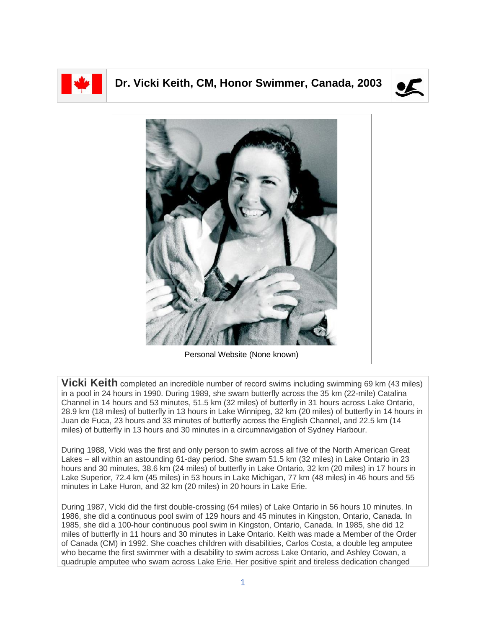

## **Dr. Vicki Keith, CM, Honor Swimmer, Canada, 2003**





Personal Website (None known)

**Vicki Keith** completed an incredible number of record swims including swimming 69 km (43 miles) in a pool in 24 hours in 1990. During 1989, she swam butterfly across the 35 km (22-mile) Catalina Channel in 14 hours and 53 minutes, 51.5 km (32 miles) of butterfly in 31 hours across Lake Ontario, 28.9 km (18 miles) of butterfly in 13 hours in Lake Winnipeg, 32 km (20 miles) of butterfly in 14 hours in Juan de Fuca, 23 hours and 33 minutes of butterfly across the English Channel, and 22.5 km (14 miles) of butterfly in 13 hours and 30 minutes in a circumnavigation of Sydney Harbour.

During 1988, Vicki was the first and only person to swim across all five of the North American Great Lakes – all within an astounding 61-day period. She swam 51.5 km (32 miles) in Lake Ontario in 23 hours and 30 minutes, 38.6 km (24 miles) of butterfly in Lake Ontario, 32 km (20 miles) in 17 hours in Lake Superior, 72.4 km (45 miles) in 53 hours in Lake Michigan, 77 km (48 miles) in 46 hours and 55 minutes in Lake Huron, and 32 km (20 miles) in 20 hours in Lake Erie.

During 1987, Vicki did the first double-crossing (64 miles) of Lake Ontario in 56 hours 10 minutes. In 1986, she did a continuous pool swim of 129 hours and 45 minutes in Kingston, Ontario, Canada. In 1985, she did a 100-hour continuous pool swim in Kingston, Ontario, Canada. In 1985, she did 12 miles of butterfly in 11 hours and 30 minutes in Lake Ontario. Keith was made a Member of the Order of Canada (CM) in 1992. She coaches children with disabilities, Carlos Costa, a double leg amputee who became the first swimmer with a disability to swim across Lake Ontario, and Ashley Cowan, a quadruple amputee who swam across Lake Erie. Her positive spirit and tireless dedication changed